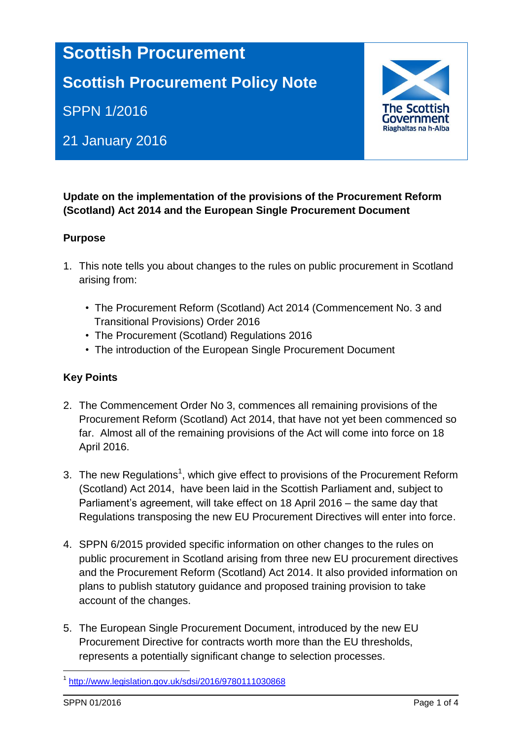# **Scottish Procurement**

# **Scottish Procurement Policy Note**

SPPN 1/2016

## 21 January 2016



### **Update on the implementation of the provisions of the Procurement Reform (Scotland) Act 2014 and the European Single Procurement Document**

#### **Purpose**

- 1. This note tells you about changes to the rules on public procurement in Scotland arising from:
	- The Procurement Reform (Scotland) Act 2014 (Commencement No. 3 and Transitional Provisions) Order 2016
	- The Procurement (Scotland) Regulations 2016
	- The introduction of the European Single Procurement Document

#### **Key Points**

- 2. The Commencement Order No 3, commences all remaining provisions of the Procurement Reform (Scotland) Act 2014, that have not yet been commenced so far. Almost all of the remaining provisions of the Act will come into force on 18 April 2016.
- 3. The new Regulations<sup>1</sup>, which give effect to provisions of the Procurement Reform (Scotland) Act 2014, have been laid in the Scottish Parliament and, subject to Parliament's agreement, will take effect on 18 April 2016 – the same day that Regulations transposing the new EU Procurement Directives will enter into force.
- 4. SPPN 6/2015 provided specific information on other changes to the rules on public procurement in Scotland arising from three new EU procurement directives and the Procurement Reform (Scotland) Act 2014. It also provided information on plans to publish statutory guidance and proposed training provision to take account of the changes.
- 5. The European Single Procurement Document, introduced by the new EU Procurement Directive for contracts worth more than the EU thresholds, represents a potentially significant change to selection processes.

1

<sup>1</sup> <http://www.legislation.gov.uk/sdsi/2016/9780111030868>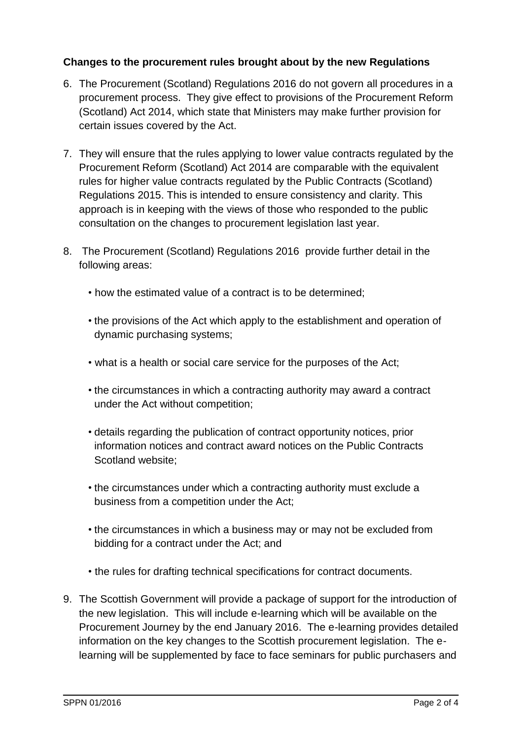#### **Changes to the procurement rules brought about by the new Regulations**

- 6. The Procurement (Scotland) Regulations 2016 do not govern all procedures in a procurement process. They give effect to provisions of the Procurement Reform (Scotland) Act 2014, which state that Ministers may make further provision for certain issues covered by the Act.
- 7. They will ensure that the rules applying to lower value contracts regulated by the Procurement Reform (Scotland) Act 2014 are comparable with the equivalent rules for higher value contracts regulated by the Public Contracts (Scotland) Regulations 2015. This is intended to ensure consistency and clarity. This approach is in keeping with the views of those who responded to the public consultation on the changes to procurement legislation last year.
- 8. The Procurement (Scotland) Regulations 2016 provide further detail in the following areas:
	- how the estimated value of a contract is to be determined;
	- the provisions of the Act which apply to the establishment and operation of dynamic purchasing systems;
	- what is a health or social care service for the purposes of the Act;
	- the circumstances in which a contracting authority may award a contract under the Act without competition;
	- details regarding the publication of contract opportunity notices, prior information notices and contract award notices on the Public Contracts Scotland website;
	- the circumstances under which a contracting authority must exclude a business from a competition under the Act;
	- the circumstances in which a business may or may not be excluded from bidding for a contract under the Act; and
	- the rules for drafting technical specifications for contract documents.
- 9. The Scottish Government will provide a package of support for the introduction of the new legislation. This will include e-learning which will be available on the Procurement Journey by the end January 2016. The e-learning provides detailed information on the key changes to the Scottish procurement legislation. The elearning will be supplemented by face to face seminars for public purchasers and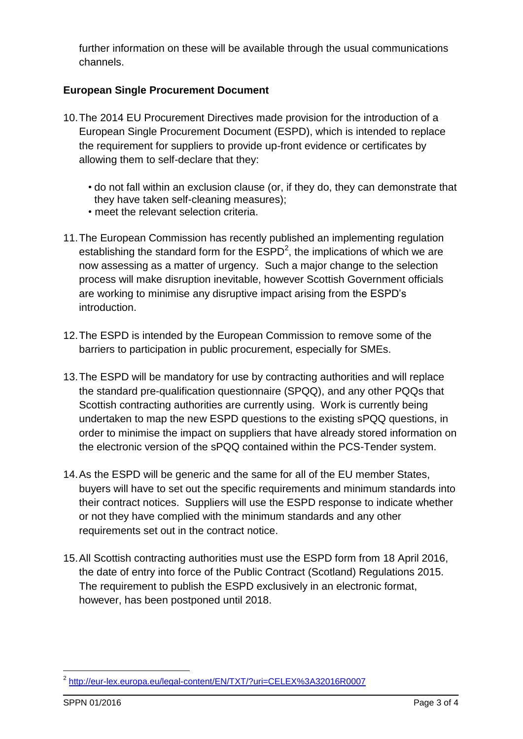further information on these will be available through the usual communications channels.

### **European Single Procurement Document**

- 10.The 2014 EU Procurement Directives made provision for the introduction of a European Single Procurement Document (ESPD), which is intended to replace the requirement for suppliers to provide up-front evidence or certificates by allowing them to self-declare that they:
	- do not fall within an exclusion clause (or, if they do, they can demonstrate that they have taken self-cleaning measures);
	- meet the relevant selection criteria.
- 11.The European Commission has recently published an implementing regulation establishing the standard form for the  $ESPD<sup>2</sup>$ , the implications of which we are now assessing as a matter of urgency. Such a major change to the selection process will make disruption inevitable, however Scottish Government officials are working to minimise any disruptive impact arising from the ESPD's introduction.
- 12.The ESPD is intended by the European Commission to remove some of the barriers to participation in public procurement, especially for SMEs.
- 13.The ESPD will be mandatory for use by contracting authorities and will replace the standard pre-qualification questionnaire (SPQQ), and any other PQQs that Scottish contracting authorities are currently using. Work is currently being undertaken to map the new ESPD questions to the existing sPQQ questions, in order to minimise the impact on suppliers that have already stored information on the electronic version of the sPQQ contained within the PCS-Tender system.
- 14.As the ESPD will be generic and the same for all of the EU member States, buyers will have to set out the specific requirements and minimum standards into their contract notices. Suppliers will use the ESPD response to indicate whether or not they have complied with the minimum standards and any other requirements set out in the contract notice.
- 15.All Scottish contracting authorities must use the ESPD form from 18 April 2016, the date of entry into force of the Public Contract (Scotland) Regulations 2015. The requirement to publish the ESPD exclusively in an electronic format, however, has been postponed until 2018.

<sup>1</sup> <sup>2</sup> <http://eur-lex.europa.eu/legal-content/EN/TXT/?uri=CELEX%3A32016R0007>